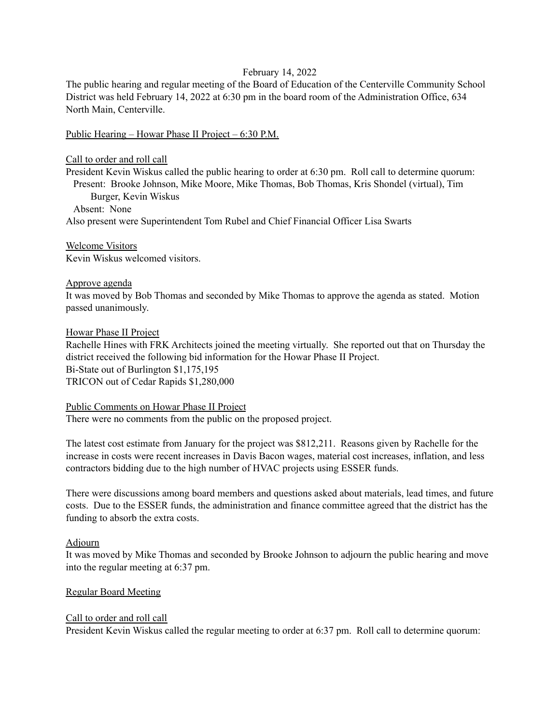## February 14, 2022

The public hearing and regular meeting of the Board of Education of the Centerville Community School District was held February 14, 2022 at 6:30 pm in the board room of the Administration Office, 634 North Main, Centerville.

Public Hearing – Howar Phase II Project – 6:30 P.M.

#### Call to order and roll call

President Kevin Wiskus called the public hearing to order at 6:30 pm. Roll call to determine quorum: Present: Brooke Johnson, Mike Moore, Mike Thomas, Bob Thomas, Kris Shondel (virtual), Tim Burger, Kevin Wiskus

Absent: None

Also present were Superintendent Tom Rubel and Chief Financial Officer Lisa Swarts

Welcome Visitors Kevin Wiskus welcomed visitors.

## Approve agenda

It was moved by Bob Thomas and seconded by Mike Thomas to approve the agenda as stated. Motion passed unanimously.

### Howar Phase II Project

Rachelle Hines with FRK Architects joined the meeting virtually. She reported out that on Thursday the district received the following bid information for the Howar Phase II Project. Bi-State out of Burlington \$1,175,195 TRICON out of Cedar Rapids \$1,280,000

#### Public Comments on Howar Phase II Project

There were no comments from the public on the proposed project.

The latest cost estimate from January for the project was \$812,211. Reasons given by Rachelle for the increase in costs were recent increases in Davis Bacon wages, material cost increases, inflation, and less contractors bidding due to the high number of HVAC projects using ESSER funds.

There were discussions among board members and questions asked about materials, lead times, and future costs. Due to the ESSER funds, the administration and finance committee agreed that the district has the funding to absorb the extra costs.

## Adjourn

It was moved by Mike Thomas and seconded by Brooke Johnson to adjourn the public hearing and move into the regular meeting at 6:37 pm.

## Regular Board Meeting

## Call to order and roll call

President Kevin Wiskus called the regular meeting to order at 6:37 pm. Roll call to determine quorum: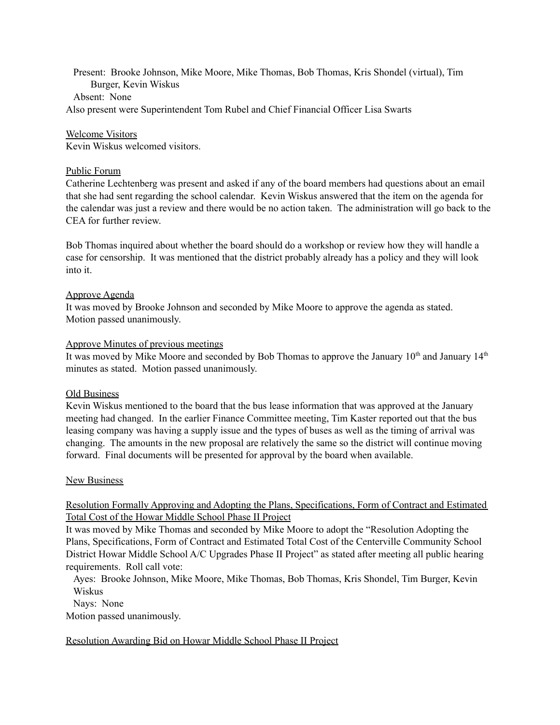Present: Brooke Johnson, Mike Moore, Mike Thomas, Bob Thomas, Kris Shondel (virtual), Tim Burger, Kevin Wiskus Absent: None Also present were Superintendent Tom Rubel and Chief Financial Officer Lisa Swarts

Welcome Visitors Kevin Wiskus welcomed visitors.

## Public Forum

Catherine Lechtenberg was present and asked if any of the board members had questions about an email that she had sent regarding the school calendar. Kevin Wiskus answered that the item on the agenda for the calendar was just a review and there would be no action taken. The administration will go back to the CEA for further review.

Bob Thomas inquired about whether the board should do a workshop or review how they will handle a case for censorship. It was mentioned that the district probably already has a policy and they will look into it.

#### Approve Agenda

It was moved by Brooke Johnson and seconded by Mike Moore to approve the agenda as stated. Motion passed unanimously.

#### Approve Minutes of previous meetings

It was moved by Mike Moore and seconded by Bob Thomas to approve the January  $10<sup>th</sup>$  and January  $14<sup>th</sup>$ minutes as stated. Motion passed unanimously.

#### Old Business

Kevin Wiskus mentioned to the board that the bus lease information that was approved at the January meeting had changed. In the earlier Finance Committee meeting, Tim Kaster reported out that the bus leasing company was having a supply issue and the types of buses as well as the timing of arrival was changing. The amounts in the new proposal are relatively the same so the district will continue moving forward. Final documents will be presented for approval by the board when available.

#### New Business

# Resolution Formally Approving and Adopting the Plans, Specifications, Form of Contract and Estimated Total Cost of the Howar Middle School Phase II Project

It was moved by Mike Thomas and seconded by Mike Moore to adopt the "Resolution Adopting the Plans, Specifications, Form of Contract and Estimated Total Cost of the Centerville Community School District Howar Middle School A/C Upgrades Phase II Project" as stated after meeting all public hearing requirements. Roll call vote:

Ayes: Brooke Johnson, Mike Moore, Mike Thomas, Bob Thomas, Kris Shondel, Tim Burger, Kevin Wiskus

Nays: None

Motion passed unanimously.

Resolution Awarding Bid on Howar Middle School Phase II Project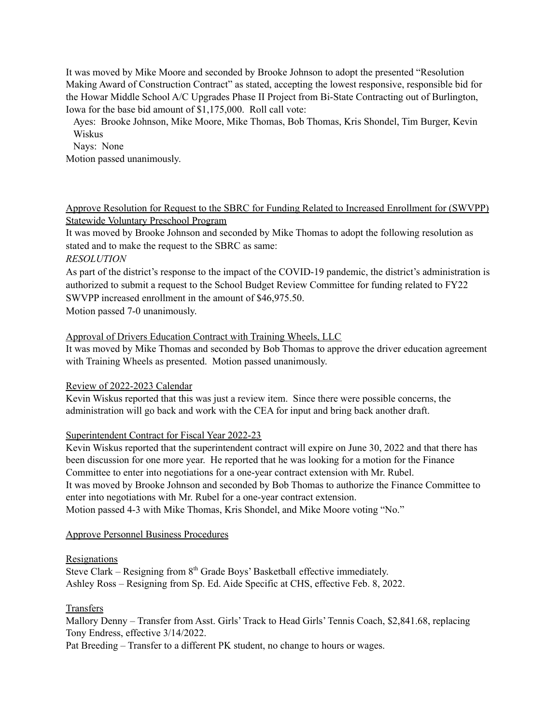It was moved by Mike Moore and seconded by Brooke Johnson to adopt the presented "Resolution Making Award of Construction Contract" as stated, accepting the lowest responsive, responsible bid for the Howar Middle School A/C Upgrades Phase II Project from Bi-State Contracting out of Burlington, Iowa for the base bid amount of \$1,175,000. Roll call vote:

Ayes: Brooke Johnson, Mike Moore, Mike Thomas, Bob Thomas, Kris Shondel, Tim Burger, Kevin Wiskus

Nays: None

Motion passed unanimously.

# Approve Resolution for Request to the SBRC for Funding Related to Increased Enrollment for (SWVPP) Statewide Voluntary Preschool Program

It was moved by Brooke Johnson and seconded by Mike Thomas to adopt the following resolution as stated and to make the request to the SBRC as same:

# *RESOLUTION*

As part of the district's response to the impact of the COVID-19 pandemic, the district's administration is authorized to submit a request to the School Budget Review Committee for funding related to FY22 SWVPP increased enrollment in the amount of \$46,975.50.

Motion passed 7-0 unanimously.

# Approval of Drivers Education Contract with Training Wheels, LLC

It was moved by Mike Thomas and seconded by Bob Thomas to approve the driver education agreement with Training Wheels as presented. Motion passed unanimously.

## Review of 2022-2023 Calendar

Kevin Wiskus reported that this was just a review item. Since there were possible concerns, the administration will go back and work with the CEA for input and bring back another draft.

## Superintendent Contract for Fiscal Year 2022-23

Kevin Wiskus reported that the superintendent contract will expire on June 30, 2022 and that there has been discussion for one more year. He reported that he was looking for a motion for the Finance Committee to enter into negotiations for a one-year contract extension with Mr. Rubel. It was moved by Brooke Johnson and seconded by Bob Thomas to authorize the Finance Committee to enter into negotiations with Mr. Rubel for a one-year contract extension. Motion passed 4-3 with Mike Thomas, Kris Shondel, and Mike Moore voting "No."

## Approve Personnel Business Procedures

## Resignations

Steve Clark – Resigning from 8<sup>th</sup> Grade Boys' Basketball effective immediately. Ashley Ross – Resigning from Sp. Ed. Aide Specific at CHS, effective Feb. 8, 2022.

## **Transfers**

Mallory Denny – Transfer from Asst. Girls' Track to Head Girls' Tennis Coach, \$2,841.68, replacing Tony Endress, effective 3/14/2022.

Pat Breeding – Transfer to a different PK student, no change to hours or wages.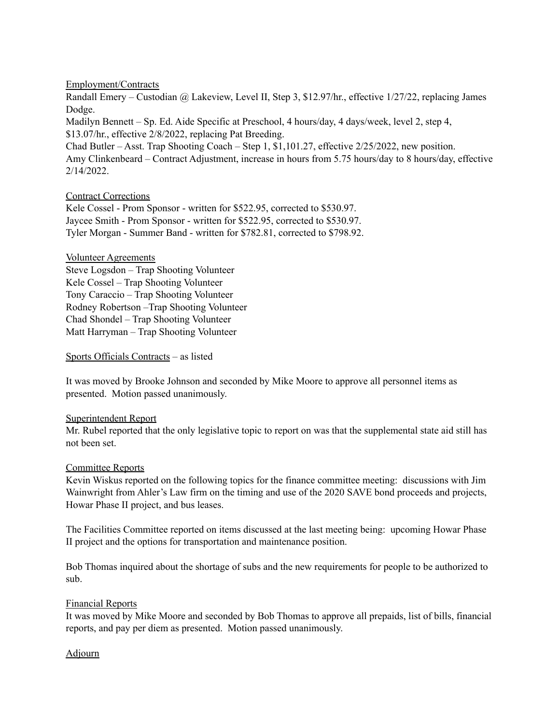## Employment/Contracts

Randall Emery – Custodian @ Lakeview, Level II, Step 3, \$12.97/hr., effective 1/27/22, replacing James Dodge. Madilyn Bennett – Sp. Ed. Aide Specific at Preschool, 4 hours/day, 4 days/week, level 2, step 4, \$13.07/hr., effective 2/8/2022, replacing Pat Breeding. Chad Butler – Asst. Trap Shooting Coach – Step 1, \$1,101.27, effective 2/25/2022, new position. Amy Clinkenbeard – Contract Adjustment, increase in hours from 5.75 hours/day to 8 hours/day, effective 2/14/2022.

# Contract Corrections

Kele Cossel - Prom Sponsor - written for \$522.95, corrected to \$530.97. Jaycee Smith - Prom Sponsor - written for \$522.95, corrected to \$530.97. Tyler Morgan - Summer Band - written for \$782.81, corrected to \$798.92.

## Volunteer Agreements

Steve Logsdon – Trap Shooting Volunteer Kele Cossel – Trap Shooting Volunteer Tony Caraccio – Trap Shooting Volunteer Rodney Robertson –Trap Shooting Volunteer Chad Shondel – Trap Shooting Volunteer Matt Harryman – Trap Shooting Volunteer

## Sports Officials Contracts – as listed

It was moved by Brooke Johnson and seconded by Mike Moore to approve all personnel items as presented. Motion passed unanimously.

## Superintendent Report

Mr. Rubel reported that the only legislative topic to report on was that the supplemental state aid still has not been set.

## Committee Reports

Kevin Wiskus reported on the following topics for the finance committee meeting: discussions with Jim Wainwright from Ahler's Law firm on the timing and use of the 2020 SAVE bond proceeds and projects, Howar Phase II project, and bus leases.

The Facilities Committee reported on items discussed at the last meeting being: upcoming Howar Phase II project and the options for transportation and maintenance position.

Bob Thomas inquired about the shortage of subs and the new requirements for people to be authorized to sub.

## Financial Reports

It was moved by Mike Moore and seconded by Bob Thomas to approve all prepaids, list of bills, financial reports, and pay per diem as presented. Motion passed unanimously.

# Adjourn